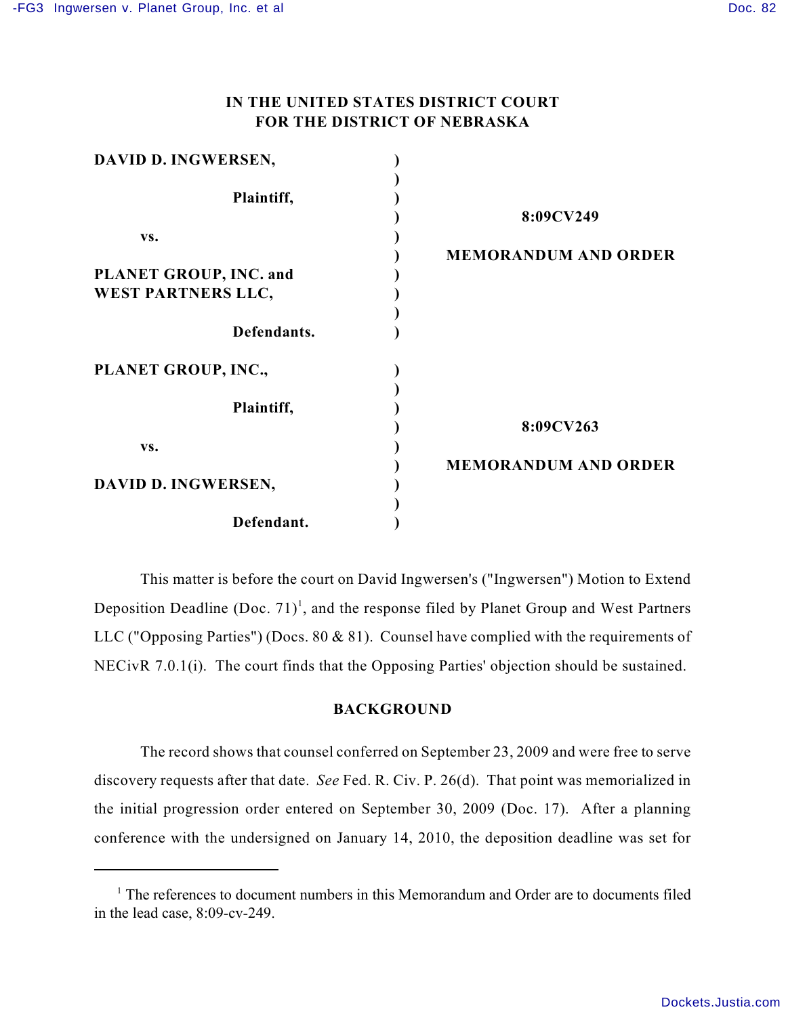## **IN THE UNITED STATES DISTRICT COURT FOR THE DISTRICT OF NEBRASKA**

| DAVID D. INGWERSEN,       |                             |
|---------------------------|-----------------------------|
| Plaintiff,                | 8:09CV249                   |
| VS.                       |                             |
|                           | <b>MEMORANDUM AND ORDER</b> |
| PLANET GROUP, INC. and    |                             |
| <b>WEST PARTNERS LLC,</b> |                             |
| Defendants.               |                             |
| PLANET GROUP, INC.,       |                             |
| Plaintiff,                |                             |
|                           | 8:09CV263                   |
| VS.                       |                             |
| DAVID D. INGWERSEN,       | <b>MEMORANDUM AND ORDER</b> |
| Defendant.                |                             |

This matter is before the court on David Ingwersen's ("Ingwersen") Motion to Extend Deposition Deadline  $(Doc. 71)^1$ , and the response filed by Planet Group and West Partners LLC ("Opposing Parties") (Docs. 80 & 81). Counsel have complied with the requirements of NECivR 7.0.1(i). The court finds that the Opposing Parties' objection should be sustained.

## **BACKGROUND**

The record shows that counsel conferred on September 23, 2009 and were free to serve discovery requests after that date. *See* Fed. R. Civ. P. 26(d). That point was memorialized in the initial progression order entered on September 30, 2009 (Doc. 17). After a planning conference with the undersigned on January 14, 2010, the deposition deadline was set for

 $1$  The references to document numbers in this Memorandum and Order are to documents filed in the lead case, 8:09-cv-249.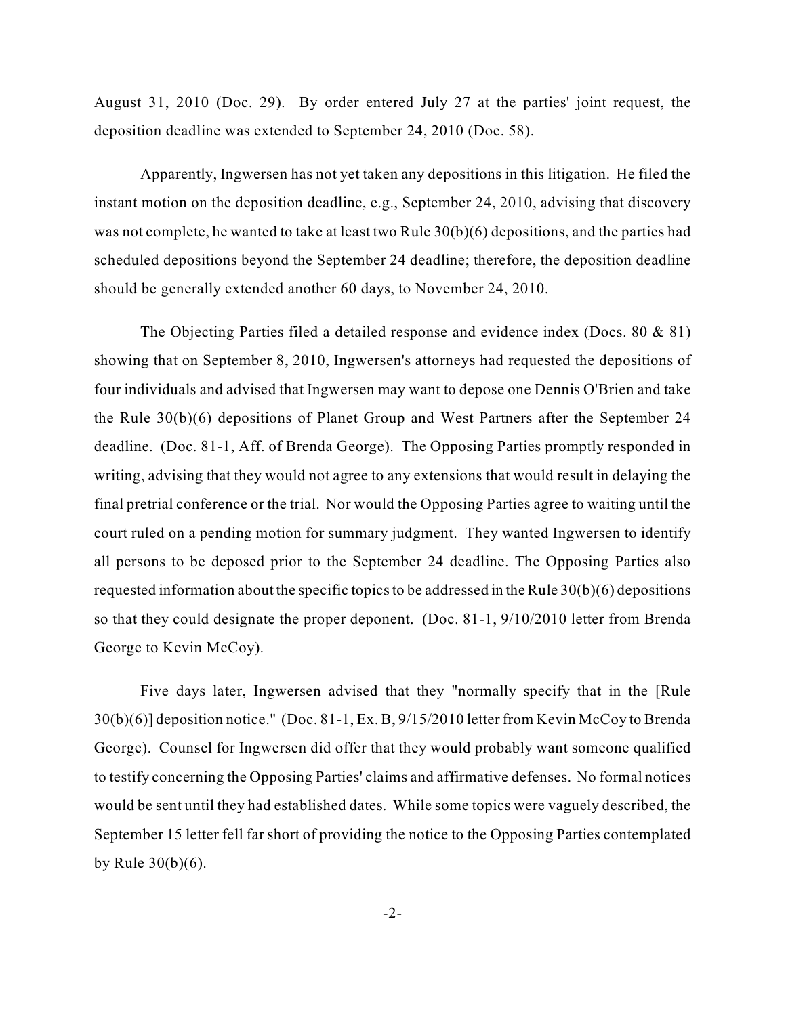August 31, 2010 (Doc. 29). By order entered July 27 at the parties' joint request, the deposition deadline was extended to September 24, 2010 (Doc. 58).

Apparently, Ingwersen has not yet taken any depositions in this litigation. He filed the instant motion on the deposition deadline, e.g., September 24, 2010, advising that discovery was not complete, he wanted to take at least two Rule 30(b)(6) depositions, and the parties had scheduled depositions beyond the September 24 deadline; therefore, the deposition deadline should be generally extended another 60 days, to November 24, 2010.

The Objecting Parties filed a detailed response and evidence index (Docs. 80 & 81) showing that on September 8, 2010, Ingwersen's attorneys had requested the depositions of four individuals and advised that Ingwersen may want to depose one Dennis O'Brien and take the Rule 30(b)(6) depositions of Planet Group and West Partners after the September 24 deadline. (Doc. 81-1, Aff. of Brenda George). The Opposing Parties promptly responded in writing, advising that they would not agree to any extensions that would result in delaying the final pretrial conference or the trial. Nor would the Opposing Parties agree to waiting until the court ruled on a pending motion for summary judgment. They wanted Ingwersen to identify all persons to be deposed prior to the September 24 deadline. The Opposing Parties also requested information about the specific topics to be addressed in the Rule 30(b)(6) depositions so that they could designate the proper deponent. (Doc. 81-1, 9/10/2010 letter from Brenda George to Kevin McCoy).

Five days later, Ingwersen advised that they "normally specify that in the [Rule 30(b)(6)] deposition notice." (Doc. 81-1, Ex. B, 9/15/2010 letter from Kevin McCoy to Brenda George). Counsel for Ingwersen did offer that they would probably want someone qualified to testify concerning the Opposing Parties' claims and affirmative defenses. No formal notices would be sent until they had established dates. While some topics were vaguely described, the September 15 letter fell far short of providing the notice to the Opposing Parties contemplated by Rule 30(b)(6).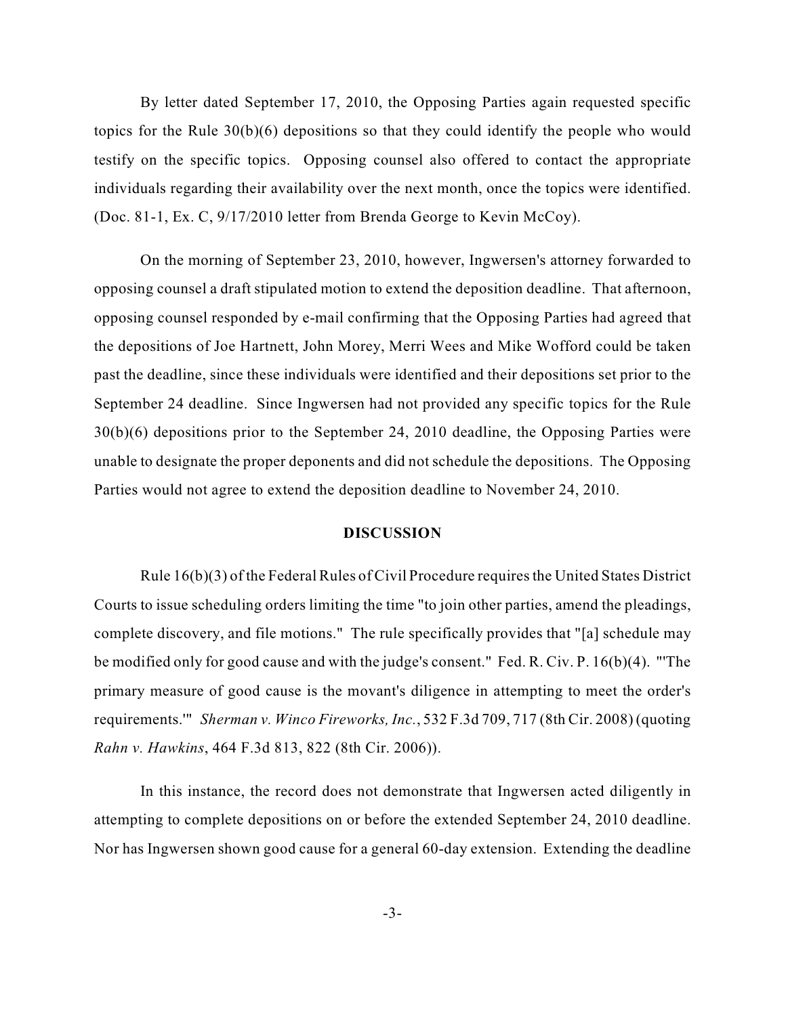By letter dated September 17, 2010, the Opposing Parties again requested specific topics for the Rule 30(b)(6) depositions so that they could identify the people who would testify on the specific topics. Opposing counsel also offered to contact the appropriate individuals regarding their availability over the next month, once the topics were identified. (Doc. 81-1, Ex. C, 9/17/2010 letter from Brenda George to Kevin McCoy).

On the morning of September 23, 2010, however, Ingwersen's attorney forwarded to opposing counsel a draft stipulated motion to extend the deposition deadline. That afternoon, opposing counsel responded by e-mail confirming that the Opposing Parties had agreed that the depositions of Joe Hartnett, John Morey, Merri Wees and Mike Wofford could be taken past the deadline, since these individuals were identified and their depositions set prior to the September 24 deadline. Since Ingwersen had not provided any specific topics for the Rule 30(b)(6) depositions prior to the September 24, 2010 deadline, the Opposing Parties were unable to designate the proper deponents and did not schedule the depositions. The Opposing Parties would not agree to extend the deposition deadline to November 24, 2010.

## **DISCUSSION**

Rule  $16(b)(3)$  of the Federal Rules of Civil Procedure requires the United States District Courts to issue scheduling orders limiting the time "to join other parties, amend the pleadings, complete discovery, and file motions." The rule specifically provides that "[a] schedule may be modified only for good cause and with the judge's consent." Fed. R. Civ. P. 16(b)(4). "'The primary measure of good cause is the movant's diligence in attempting to meet the order's requirements.'" *Sherman v. Winco Fireworks, Inc.*, 532 F.3d 709, 717 (8th Cir. 2008) (quoting *Rahn v. Hawkins*, 464 F.3d 813, 822 (8th Cir. 2006)).

In this instance, the record does not demonstrate that Ingwersen acted diligently in attempting to complete depositions on or before the extended September 24, 2010 deadline. Nor has Ingwersen shown good cause for a general 60-day extension. Extending the deadline